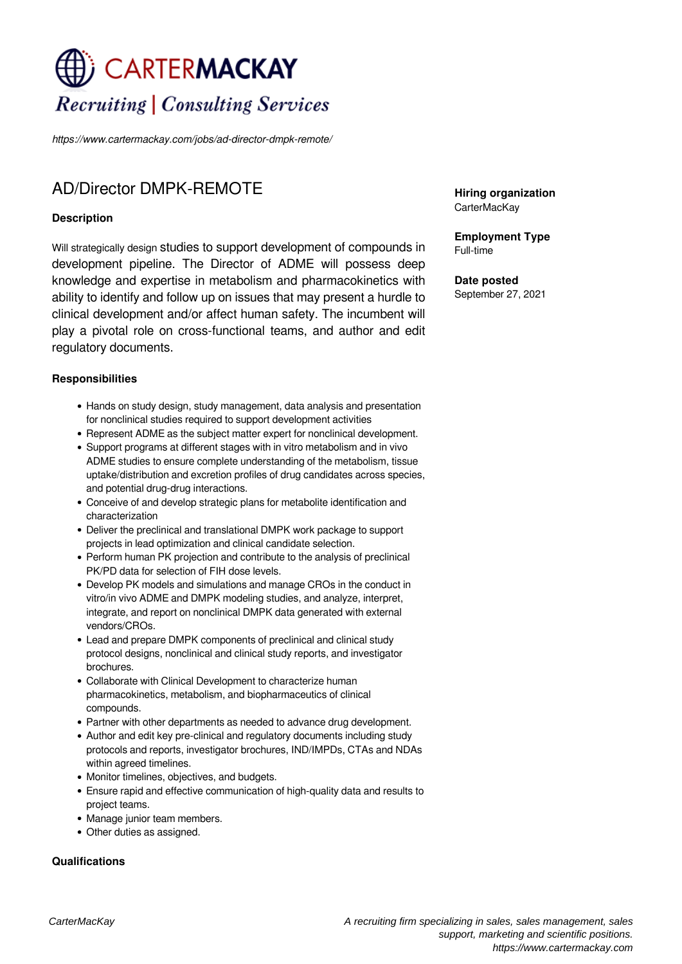# CARTERMACKAY **Recruiting | Consulting Services**

*https://www.cartermackay.com/jobs/ad-director-dmpk-remote/*

# AD/Director DMPK-REMOTE

## **Description**

Will strategically design studies to support development of compounds in development pipeline. The Director of ADME will possess deep knowledge and expertise in metabolism and pharmacokinetics with ability to identify and follow up on issues that may present a hurdle to clinical development and/or affect human safety. The incumbent will play a pivotal role on cross-functional teams, and author and edit regulatory documents.

## **Responsibilities**

- Hands on study design, study management, data analysis and presentation for nonclinical studies required to support development activities
- Represent ADME as the subject matter expert for nonclinical development.
- Support programs at different stages with in vitro metabolism and in vivo ADME studies to ensure complete understanding of the metabolism, tissue uptake/distribution and excretion profiles of drug candidates across species, and potential drug-drug interactions.
- Conceive of and develop strategic plans for metabolite identification and characterization
- Deliver the preclinical and translational DMPK work package to support projects in lead optimization and clinical candidate selection.
- Perform human PK projection and contribute to the analysis of preclinical PK/PD data for selection of FIH dose levels.
- Develop PK models and simulations and manage CROs in the conduct in vitro/in vivo ADME and DMPK modeling studies, and analyze, interpret, integrate, and report on nonclinical DMPK data generated with external vendors/CROs.
- Lead and prepare DMPK components of preclinical and clinical study protocol designs, nonclinical and clinical study reports, and investigator **brochures**
- Collaborate with Clinical Development to characterize human pharmacokinetics, metabolism, and biopharmaceutics of clinical compounds.
- Partner with other departments as needed to advance drug development.
- Author and edit key pre-clinical and regulatory documents including study protocols and reports, investigator brochures, IND/IMPDs, CTAs and NDAs within agreed timelines.
- Monitor timelines, objectives, and budgets.
- Ensure rapid and effective communication of high-quality data and results to project teams.
- Manage junior team members.
- Other duties as assigned.

#### **Qualifications**

**Hiring organization** CarterMacKay

**Employment Type** Full-time

**Date posted** September 27, 2021